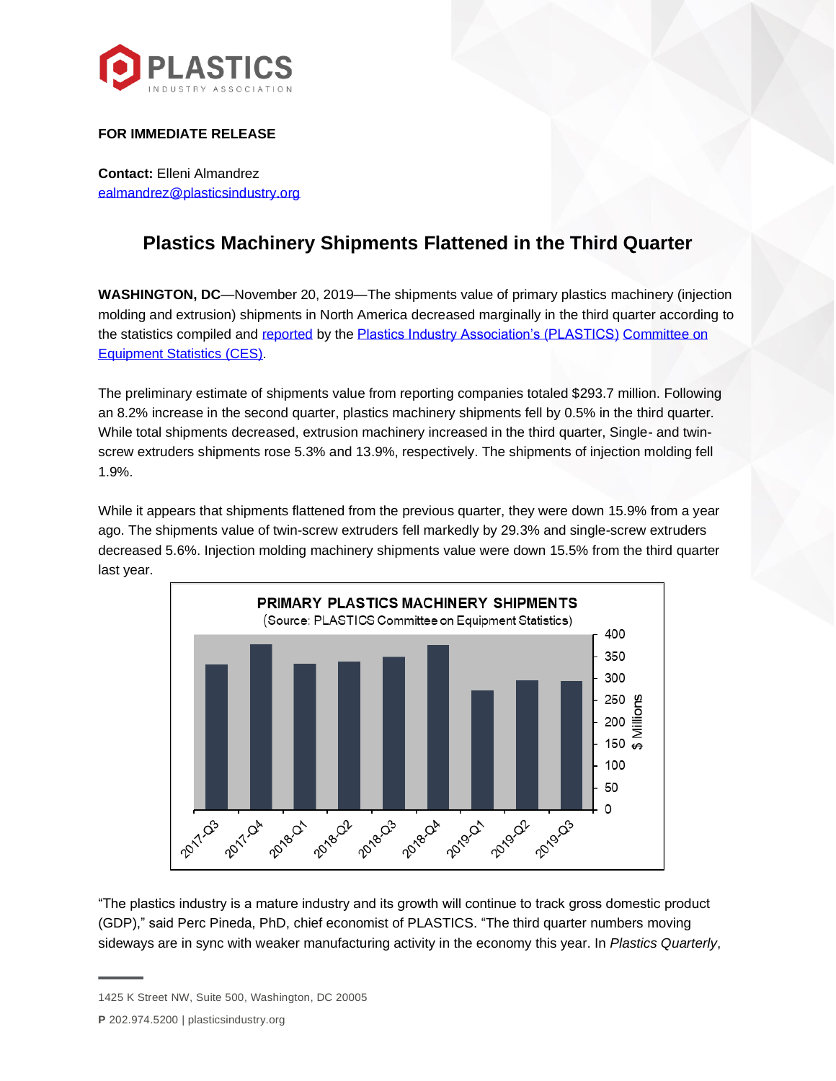

## **FOR IMMEDIATE RELEASE**

**Contact:** Elleni Almandrez [ealmandrez@plasticsindustry.org](mailto:ealmandrez@plasticsindustry.org)

## **Plastics Machinery Shipments Flattened in the Third Quarter**

**WASHINGTON, DC**—November 20, 2019—The shipments value of primary plastics machinery (injection molding and extrusion) shipments in North America decreased marginally in the third quarter according to the statistics compiled and [reported](https://www.plasticsindustry.org/supply-chain/equipment-moldmakers/committee-equipment-statistics-ces) by the [Plastics Industry Association's \(PLASTICS\)](http://plasticsindustry.org/) [Committee on](https://www.plasticsindustry.org/supply-chain/equipment-moldmakers/committee-equipment-statistics-ces)  [Equipment Statistics \(CES\).](https://www.plasticsindustry.org/supply-chain/equipment-moldmakers/committee-equipment-statistics-ces)

The preliminary estimate of shipments value from reporting companies totaled \$293.7 million. Following an 8.2% increase in the second quarter, plastics machinery shipments fell by 0.5% in the third quarter. While total shipments decreased, extrusion machinery increased in the third quarter, Single- and twinscrew extruders shipments rose 5.3% and 13.9%, respectively. The shipments of injection molding fell 1.9%.

While it appears that shipments flattened from the previous quarter, they were down 15.9% from a year ago. The shipments value of twin-screw extruders fell markedly by 29.3% and single-screw extruders decreased 5.6%. Injection molding machinery shipments value were down 15.5% from the third quarter last year.



"The plastics industry is a mature industry and its growth will continue to track gross domestic product (GDP)," said Perc Pineda, PhD, chief economist of PLASTICS. "The third quarter numbers moving sideways are in sync with weaker manufacturing activity in the economy this year. In *Plastics Quarterly*,

**P** 202.974.5200 | plasticsindustry.org

<sup>1425</sup> K Street NW, Suite 500, Washington, DC 20005